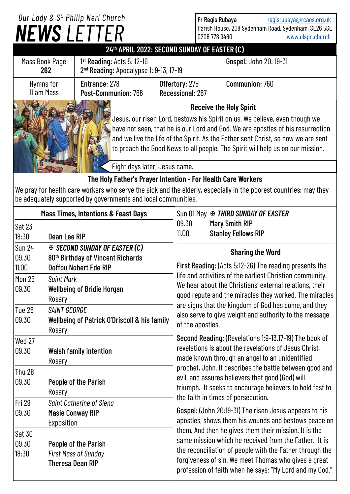## *NEWS LETTER Our Lady & S t. Philip Neri Church*

Fr Regis Rubaya [regisrubaya@rcaos.org.uk](mailto:regisrubaya@rcaos.org.uk) Parish House, 208 Sydenham Road, Sydenham, SE26 5SE 0208 778 9460 [www.olspn.church](http://www.olspn.church)

## **24th APRIL 2022: SECOND SUNDAY OF EASTER (C)**

| Mass Book Page<br>262                                        | $1st$ Reading: Acts 5: 12-16<br>2 <sup>nd</sup> Reading: Apocalypse 1: 9-13, 17-19                                                                                                                                                                                                                                                                                      |                                    | Gospel: John 20: 19-31 |  |
|--------------------------------------------------------------|-------------------------------------------------------------------------------------------------------------------------------------------------------------------------------------------------------------------------------------------------------------------------------------------------------------------------------------------------------------------------|------------------------------------|------------------------|--|
| Hymns for<br>11 am Mass                                      | Entrance: 278<br>Post-Communion: 766                                                                                                                                                                                                                                                                                                                                    | Offertory: 275<br>Recessional: 267 | Communion: 760         |  |
|                                                              | <b>Receive the Holy Spirit</b><br>Jesus, our risen Lord, bestows his Spirit on us. We believe, even though we<br>have not seen, that he is our Lord and God. We are apostles of his resurrection<br>and we live the life of the Spirit. As the Father sent Christ, so now we are sent<br>to preach the Good News to all people. The Spirit will help us on our mission. |                                    |                        |  |
|                                                              |                                                                                                                                                                                                                                                                                                                                                                         | Eight days later, Jesus came.      |                        |  |
| The Holy Father's Prayer Intention - For Health Care Workers |                                                                                                                                                                                                                                                                                                                                                                         |                                    |                        |  |

We pray for health care workers who serve the sick and the elderly, especially in the poorest countries; may they be adequately supported by governments and local communities.

| <b>Mass Times, Intentions &amp; Feast Days</b> |                                                                                                                        | Sun 01 May $\cdot$ THIRD SUNDAY OF EASTER                                                                                                                                                                                                                                                                                                                                                                       |  |  |
|------------------------------------------------|------------------------------------------------------------------------------------------------------------------------|-----------------------------------------------------------------------------------------------------------------------------------------------------------------------------------------------------------------------------------------------------------------------------------------------------------------------------------------------------------------------------------------------------------------|--|--|
| Sat 23                                         |                                                                                                                        | 09.30<br><b>Mary Smith RIP</b>                                                                                                                                                                                                                                                                                                                                                                                  |  |  |
| 18:30                                          | Dean Lee RIP                                                                                                           | <b>Stanley Fellows RIP</b><br>11.00                                                                                                                                                                                                                                                                                                                                                                             |  |  |
| <b>Sun 24</b><br>09.30<br>11.00                | <b>EX SECOND SUNDAY OF EASTER (C)</b><br>80 <sup>th</sup> Birthday of Vincent Richards<br><b>Doffou Nobert Ede RIP</b> | <b>Sharing the Word</b><br>First Reading: (Acts 5:12-26) The reading presents the<br>life and activities of the earliest Christian community.<br>We hear about the Christians' external relations, their<br>good repute and the miracles they worked. The miracles<br>are signs that the kingdom of God has come, and they<br>also serve to give weight and authority to the message<br>of the apostles.        |  |  |
| <b>Mon 25</b><br>09.30                         | <b>Saint Mark</b><br><b>Wellbeing of Bridie Horgan</b><br>Rosary                                                       |                                                                                                                                                                                                                                                                                                                                                                                                                 |  |  |
| Tue 26<br>09.30                                | SAINT GEORGE<br>Wellbeing of Patrick O'Driscoll & his family<br>Rosary                                                 |                                                                                                                                                                                                                                                                                                                                                                                                                 |  |  |
| Wed 27<br>09.30                                | <b>Walsh family intention</b><br>Rosary                                                                                | Second Reading: (Revelations 1:9-13.17-19) The book of<br>revelations is about the revelations of Jesus Christ,<br>made known through an angel to an unidentified                                                                                                                                                                                                                                               |  |  |
| <b>Thu 28</b><br>09.30                         | People of the Parish<br>Rosary                                                                                         | prophet, John. It describes the battle between good and<br>evil, and assures believers that good (God) will<br>triumph. It seeks to encourage believers to hold fast to<br>the faith in times of persecution.                                                                                                                                                                                                   |  |  |
| <b>Fri 29</b><br>09.30                         | <b>Saint Catherine of Siena</b><br><b>Masie Conway RIP</b><br>Exposition                                               | Gospel: (John 20:19-31) The risen Jesus appears to his<br>apostles, shows them his wounds and bestows peace on<br>them. And then he gives them their mission. It is the<br>same mission which he received from the Father. It is<br>the reconciliation of people with the Father through the<br>forgiveness of sin. We meet Thomas who gives a great<br>profession of faith when he says: "My Lord and my God." |  |  |
| Sat 30<br>09.30<br>18:30                       | People of the Parish<br><b>First Mass of Sunday</b><br><b>Theresa Dean RIP</b>                                         |                                                                                                                                                                                                                                                                                                                                                                                                                 |  |  |